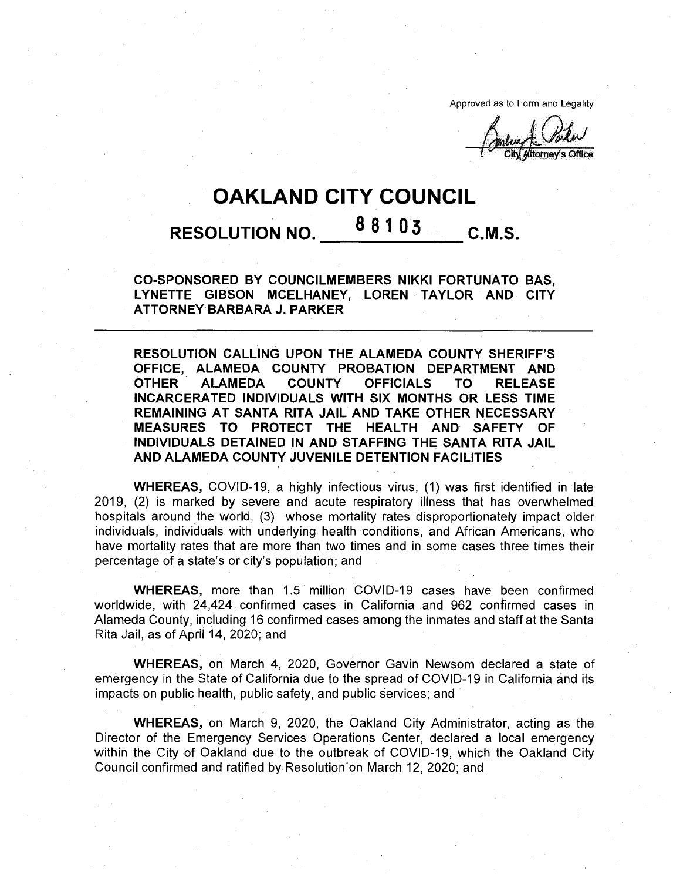Approved as to Form and Legality

(ttorney's Office

# **OAKLAND CITY COUNCIL**

# **<sup>8</sup> 8103 RESOLUTION NO. C.M.S.**

**CO-SPONSORED BY COUNCILMEMBERS NIKKI FORTUNATO BAS, LYNETTE GIBSON MCELHANEY, LOREN TAYLOR AND CITY ATTORNEY BARBARA J. PARKER**

**RESOLUTION CALLING UPON THE ALAMEDA COUNTY SHERIFF'S OFFICE, ALAMEDA COUNTY PROBATION DEPARTMENT AND OTHER ALAMEDA COUNTY OFFICIALS TO RELEASE INCARCERATED INDIVIDUALS WITH SIX MONTHS OR LESS TIME REMAINING AT SANTA RITA JAIL AND TAKE OTHER NECESSARY MEASURES TO PROTECT THE HEALTH AND SAFETY OF INDIVIDUALS DETAINED IN AND STAFFING THE SANTA RITA JAIL AND ALAMEDA COUNTY JUVENILE DETENTION FACILITIES**

**WHEREAS,** COVID-19, a highly infectious virus, (1) was first identified in late 2019, (2) is marked by severe and acute respiratory illness that has overwhelmed hospitals around the world, (3) whose mortality rates disproportionately impact older individuals, individuals with underlying health conditions, and African Americans, who have mortality rates that are more than two times and in some cases three times their percentage of a state's or city's population; and

**WHEREAS,** more than 1.5 million COVID-19 cases have been confirmed worldwide, with 24,424 confirmed cases in California and 962 confirmed cases in Alameda County, including 16 confirmed cases among the inmates and staff at the Santa Rita Jail, as of April 14, 2020; and

**WHEREAS,** on March 4, 2020, Governor Gavin Newsom declared a state of emergency in the State of California due to the spread of COVID-19 in California and its impacts on public health, public safety, and public services; and

**WHEREAS,** on March 9, 2020, the Oakland City Administrator, acting as the Director of the Emergency Services Operations Center, declared a local emergency within the City of Oakland due to the outbreak of COVID-19, which the Oakland City Council confirmed and ratified by Resolution'on March 12, 2020; and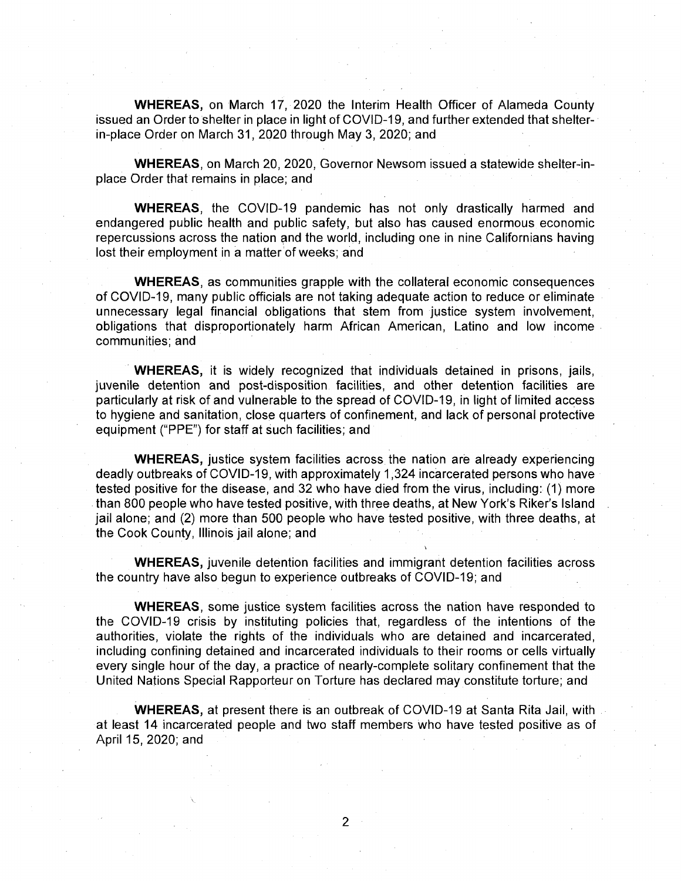**WHEREAS,** on March 17, 2020 the Interim Health Officer of Alameda County issued an Order to shelter in place in light of COVID-19, and further extended that shelterin-place Order on March 31,2020 through May 3, 2020; and

**WHEREAS,** on March 20, 2020, Governor Newsom issued a statewide shelter-inplace Order that remains in place; and

**WHEREAS,** the COVID-19 pandemic has not only drastically harmed and endangered public health and public safety, but also has caused enormous economic repercussions across the nation and the world, including one in nine Californians having lost their employment in a matter of weeks; and

**WHEREAS,** as communities grapple with the collateral economic consequences of COVID-19, many public officials are not taking adequate action to reduce or eliminate unnecessary legal financial obligations that stem from justice system involvement, obligations that disproportionately harm African American, Latino and low income communities; and

**WHEREAS,** it is widely recognized that individuals detained in prisons, jails, juvenile detention and post-disposition facilities, and other detention facilities are particularly at risk of and vulnerable to the spread of COVID-19, in light of limited access to hygiene and sanitation, close quarters of confinement, and lack of personal protective equipment ("PPE") for staff at such facilities; and

**WHEREAS,** justice system facilities across the nation are already experiencing deadly outbreaks of COVID-19, with approximately 1,324 incarcerated persons who have tested positive for the disease, and 32 who have died from the virus, including: (1) more than 800 people who have tested positive, with three deaths, at New York's Riker's Island jail alone; and (2) more than 500 people who have tested positive, with three deaths, at the Cook County, Illinois jail alone; and

**WHEREAS,** juvenile detention facilities and immigrant detention facilities across the country have also begun to experience outbreaks of COVID-19; and

**WHEREAS,** some justice system facilities across the nation have responded to the COVID-19 crisis by instituting policies that, regardless of the intentions of the authorities, violate the rights of the individuals who are detained and incarcerated, including confining detained and incarcerated individuals to their rooms or cells virtually every single hour of the day, a practice of nearly-complete solitary confinement that the United Nations Special Rapporteur on Torture has declared may constitute torture; and

**WHEREAS,** at present there is an outbreak of COVID-19 at Santa Rita Jail, with at least 14 incarcerated people and two staff members who have tested positive as of April 15, 2020; and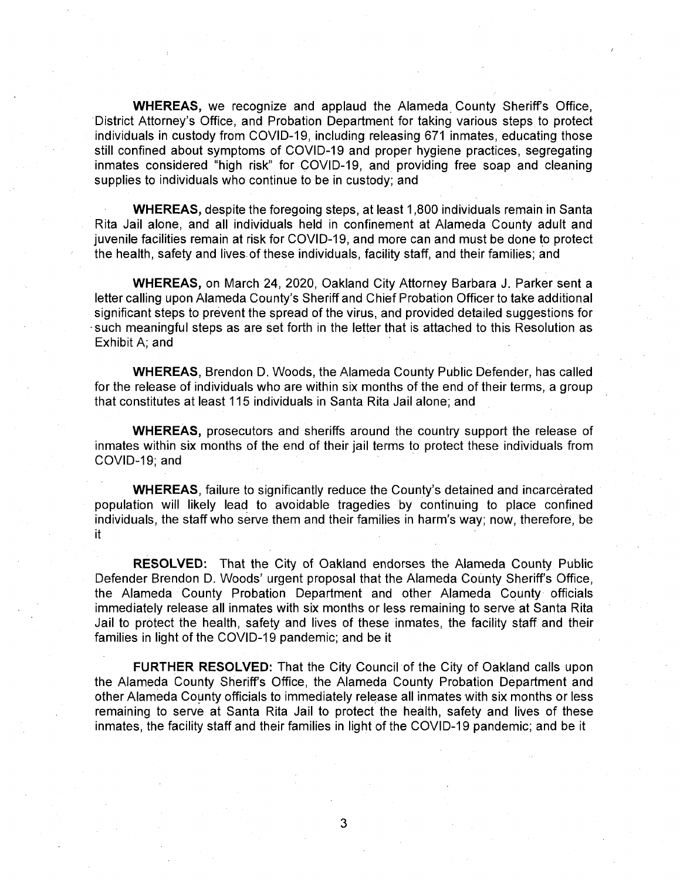**WHEREAS,** we recognize and applaud the Alameda County Sheriffs Office, District Attorney's Office, and Probation Department for taking various steps to protect individuals in custody from COVID-19, including releasing 671 inmates, educating those still confined about symptoms of COVID-19 and proper hygiene practices, segregating inmates considered "high risk" for COVID-19, and providing free soap and cleaning supplies to individuals who continue to be in custody; and

**WHEREAS,** despite the foregoing steps, at least 1,800 individuals remain in Santa Rita Jail alone, and all individuals held in confinement at Alameda County adult and juvenile facilities remain at risk for COVID-19, and more can and must be done to protect the health, safety and lives of these individuals, facility staff, and their families; and

**WHEREAS,** on March 24, 2020, Oakland City Attorney Barbara J. Parker sent a letter calling upon Alameda County's Sheriff and Chief Probation Officer to take additional significant steps to prevent the spread of the virus, and provided detailed suggestions for •such meaningful steps as are set forth in the letter that is attached to this Resolution as Exhibit A; and

**WHEREAS,** Brendon D. Woods, the Alameda County Public Defender, has called for the release of individuals who are within six months of the end of their terms, a group that constitutes at least 115 individuals in Santa Rita Jail alone; and

**WHEREAS,** prosecutors and sheriffs around the country support the release of inmates within six months of the end of their jail terms to protect these individuals from COVID-19; and

**WHEREAS**, failure to significantly reduce the County's detained and incarcerated population will likely lead to avoidable tragedies by continuing to place confined individuals, the staff who serve them and their families in harm's way; now, therefore, be **it**

**RESOLVED:** That the City of Oakland endorses the Alameda County Public Defender Brendon D. Woods' urgent proposal that the Alameda County Sheriff's Office, the Alameda County Probation Department and other Alameda County officials immediately release all inmates with six months or less remaining to serve at Santa Rita Jail to protect the health, safety and lives of these inmates, the facility staff and their families in light of the COVID-19 pandemic; and be it

**FURTHER RESOLVED:** That the City Council of the City of Oakland calls upon the Alameda County Sheriff's Office, the Alameda County Probation Department and other Alameda County officials to immediately release all inmates with six months or less remaining to serve at Santa Rita Jail to protect the health, safety and lives of these inmates, the facility staff and their families in light of the COVID-19 pandemic; and be it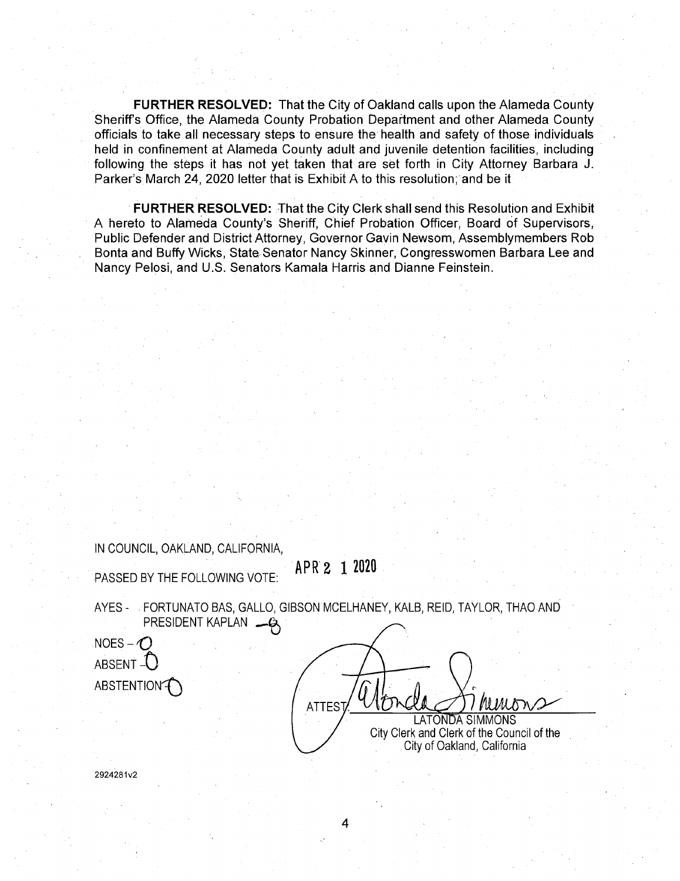**FURTHER RESOLVED:** That the City of Oakland calls upon the Alameda County Sheriff's Office, the Alameda County Probation Department and other Alameda County officials to take all necessary steps to ensure the health and safety of those individuals held in confinement at Alameda County adult and juvenile detention facilities, including following the steps it has not yet taken that are set forth in City Attorney Barbara J. Parker's March 24, 2020 letter that is Exhibit A to this resolution; and be it

**FURTHER RESOLVED:** That the City Clerk shall send this Resolution and Exhibit A hereto to Alameda County's Sheriff, Chief Probation Officer, Board of Supervisors, Public Defender and District Attorney, Governor Gavin Newsom, Assemblymembers Rob Bonta and Buffy Wicks, State Senator Nancy Skinner, Congresswomen Barbara Lee and Nancy Pelosi, and U.S. Senators Kamala Harris and Dianne Feinstein.

IN COUNCIL, OAKLAND, CALIFORNIA,

**APR <sup>2</sup> <sup>1</sup> <sup>2020</sup>** PASSED BY THE FOLLOWING VOTE:

AYES - FORTUNATO BAS, GALLO, GIBSON MCELHANEY, KALB, REID, TAYLOR, THAO AND PRESIDENT KAPLAN - Q

 $NOES - \bigodot$ ABSENT  $-I$ ABSTENTION<sup>T</sup>

ATTEST/ MMons LATONDA SIMMONS City Clerk and Clerk of the Council of the City of Oakland, California

2924281v2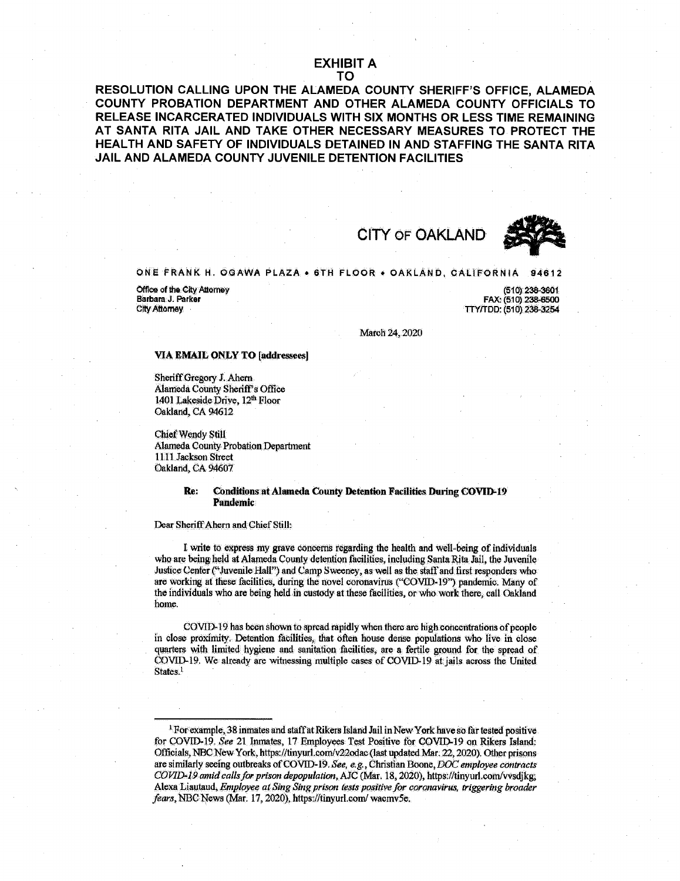## **EXHIBIT A TO**

**RESOLUTION CALLING UPON THE ALAMEDA COUNTY SHERIFF'S OFFICE, ALAMEDA COUNTY PROBATION DEPARTMENT AND OTHER ALAMEDA COUNTY OFFICIALS TO RELEASE INCARCERATED INDIVIDUALS WITH SIX MONTHS OR LESS TIME REMAINING AT SANTA RITA JAIL AND TAKE OTHER NECESSARY MEASURES TO PROTECT THE HEALTH AND SAFETY OF INDIVIDUALS DETAINED IN AND STAFFING THE SANTA RITA JAIL AND ALAMEDA COUNTY JUVENILE DETENTION FACILITIES**

**CITY OF OAKLAND**



# **ONE FRANK H, ©SAVVA PLAZA • 6TH FLOOR • OAKLAND, CALIFORNIA 94612**

**Office of the City Attorney**<br>**Barbara J. Parker Barbara J. Parker** CityAttorney

**(510) 238-3601 FAX: (510) 238-6500 TTY/TDD: (510)238-3254**

March 24,2020

#### **VIA EMAIL ONLY TO [addressees]**

Sheriff Gregory J. Ahern Alameda County Sheriff's Office 1401 Lakeside Driye, 12<sup>th</sup> Floor Oakland, CA 94612

Chief Wendy Still Alameda County Probation Department 1111 Jackson Street Oakland, CA 94607

### **Re: Conditions at Alameda County Detention Facilities During COVID-19 Pandemic**

#### Dear Sheriff Ahern and Chief Still:

I write to express my grave concerns regarding the health and well-being of individuals who are being held at Alameda County detention facilities, including Santa Rita Jail, the Juvenile Justice Center("Juvenile Hall") and Camp Sweeney, as well as the staffand first responders who are working at these facilities, during the novel coronavirus ("COVID-19") pandemic. Many of the individuals who are being held in custody atthese facilities, or Who Work there, call **Oakland** home.

COVID-19 has been shown to spread rapidly when there are high concentrations of people in close proximity. Detention facilities, that often house dense populations who live in close quarters with limited hygiene and sanitation facilities, are a fertile ground for the spread of COVID-19. We already are witnessing multiple cases of COVID-19 at jails across the United States,<sup>1</sup>

<sup>&</sup>lt;sup>1</sup> For example, 38 inmates and staff at Rikers Island Jail in New York have so far tested positive for COVID-19. *See* 21. Inmates, 17 Employees Test Positive for COVID-19 on Rikers Island: Officials, NBC NewYork, <https://tinyurl.com/v22odac> (last updated Mar. 22,2020), Other prisons are similarly seeing outbreaks ofCOVID-19*,Seet e.g,* Christian Boone,DOC*employee contracts COVlD\*Wamid callsforprison depopulation, AJC* (Mkr, 18,2020), <https://tinyuri.coni/vvsdjkgi> Alexa Liautaud, *Employee at Sing Singprison tesispositivefor coranavirw, triggerittg broader* fears, NBC News (Mar. 17, 2020), <https://tinyurl.com/>wacmv5e.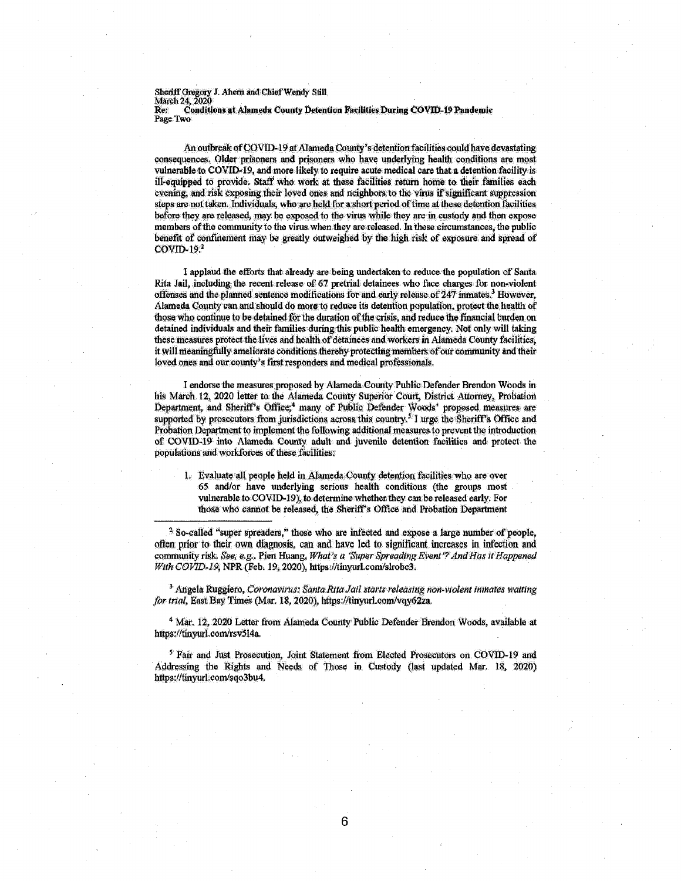Sheriff Gregory J. Ahem and Chief Wendy Still<br>Marsh 24, 2020 Re: Conditions at Alameda County Detention Facilities During COVID-19 Pandemic<br>Page Two<br>**Figure 1** 

An outbreak of COVID-19 at Alameda County's detention facilities could have devastating consequences. Older prisoners and prisoners who have underlying health conditions are most vulnerable to COVID-19, and more likely to require acute medical care that a detention facility is ill-equipped to provide. Staff who work at these facilities return home to their families each evening, and risk exposing their loved ones and neighbors to the virus if significant suppression steps are not taken. Individuals, who are held for a short period of time at these detention facilities before they are released, may be exposed to the virus while they are in custody and then expose members of the community to the virus when they are released. In these circumstances, the public benefit of confinement may be greatly outweighed by the high risk of exposure and spread of  $CovID-19.<sup>2</sup>$ 

I applaud the efforts that already are being undertaken to reduce the population of Santa Rita Jail, including the recent release of 67 pretrial detainees who face charges for non-violent offenses and the planned sentence modifications for and early release of 247 inmates.<sup>3</sup> However, Alameda County can and should do more to reduce its detention population, protect the health of those who continue to be detained for the duration of the crisis, and reduce the financial burden on detained individuals and their families during this public health emergency. Not only will taking these measures protect the lives and health of detainees and workers in Alameda County facilities, it will meaningfully ameliorate conditions thereby protecting members of our community and their loved ones and our county's first responders and medical professionals.

I endorse the measures proposed by Alameda County Public Defender Brendon Woods in his March 12, 2020 letter to the Alameda County Superior Court, District Attorney, Probation Department, and Sheriff's Office;<sup>4</sup> many of Public Defender Woods' proposed measures are supported by prosecutors from jurisdictions across this country.<sup>5</sup> I urge the Sheriff's Office and Probation Department to implement the following additional measures to prevent the introduction of COVID-19 into Alameda County adult and juvenile detention facilities and protect the populations and workforces of these facilities:

1. Evaluate all people held in Alameda County detention facilities who are over 65 and/or have underlying serious health conditions (the groups most vulnerable to COVID-19), to determine whether they can be released early. For those who cannot be released, the Sheriff's Office and Probation Department

 $2$  So-called "super spreaders," those who are infected and expose a large number of people, often prior to their own diagnosis, can and have led to sipificant increases in infection and community risk. *See, e.g.,* Pien Huang, *What's a 'Super SpreadingEvent'?AndHasifHappened With COVID-19*, NPR (Feb. 19, 2020), https://tinyurl.com/slrobc3.

<sup>3</sup> Angela Ruggiero, *Coronavirus: Santa Rita Jail starts releasing non-violent inmates waiting* for trial, East Bay Times (Mar. 18, 2020), <https://tinyurl.com/vqy62za>.

4 Mar. 12,2020 Letter from Alameda County Public Defender Brendon Woods, available at <https://tinyurl.com/rsv514a>.

<sup>5</sup> Fair and Just Prosecution, Joint Statement from Elected Prosecutors on COVID-19 and Addressing the Rights and Needs of Those in Custody (last updated Mar. 18, 2020) [https://tinyurl.com/sqo3bu4.](https://tinyurl.com/sqo3bu4)

**6**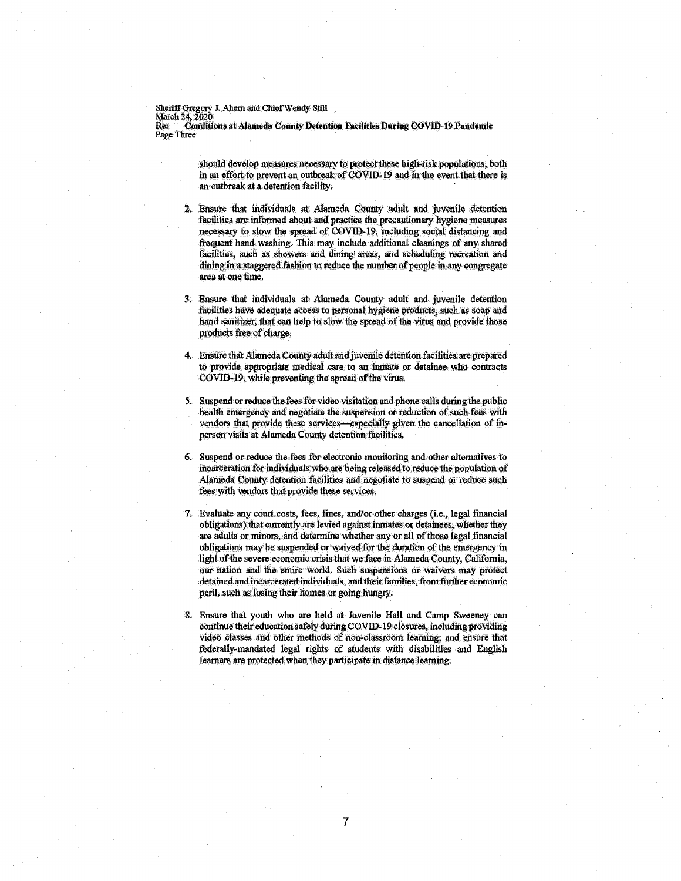Sheriff Gregory J. Ahern and Chief Wendy Still<br>March 24, 2020<br>Re: ``Conditions at Alameda County Detention Facilities During COVID-19 Pandemic Page Three

> should develop measures necessary to protect these high-risk populations, both in an effort to prevent an outbreak of COVID-19 and in the event that there is an outbreak at a detention facility.

- <sup>21</sup> Ensure that individuals at Alameda County adult and juvenile detention facilities are informed about and practice the precautionary hygiene measures necessary to slow the spread of COVID-19, including social distancing and frequent hand washing: This may include additional cleanings of any shared facilities, such as showers and dining areas, and scheduling recreation and dining in a staggered fashion to reduce the number of people in any congregate area at one time.
- 3: Ensure that individuals at Alameda County adult and juvenile detention facilities have adequate access to personal hygiene products, such as soap and hand sanitizer, that can help to slow the spread of the virus and provide those products free of charge.
- 4. Ensure that Alameda Countyadult andjuvenile detention facilities arc prepared to provide appropriate medical care to an inmate or detainee who contracts COVID-19, while preventing the spread of the virus.
- 5. Suspend orreduce thefeesforvideo visilatibn andphone calls duringthe public health emergency and negotiate the suspension or reduction of such fees with vendors that provide these services—especially given the cancellation of inperson visits at Alameda County detention facilities,
- 6. Suspend or reduce the fees for electronic monitoring and other alternatives to incarceration for individuals who are being released to reduce the population of Alameda County detention facilities and negotiate to suspend of reduce such fees with vendors that provide these services.
- 7. Evaluate any court costs, fees, fines, and/or other charges (i.e., legal financial obligations) that currently are levied against inmates or detainees, whether they are adults or minors, and determine whether any or all of those legal financial obligations may be suspended or waived for the duration ofthe emergency in light of the severe economic crisis that we face in Alameda County, California, our nation and the: entire world. Such suspensions or waivers may protect detained and incarcerated individuals, and their families, from further economic peril, such as losing their homes or going hungry.
- 8. Ensure that youth who are held at Juvenile Hall and Camp Sweeney can continue their education safely during COVID-19 closures, including providing video classes and other methods of non-classroom learning; and ensure that federally-mandated legal rights of students with disabilities and English learners are protected when, they participate in distance learning,

7